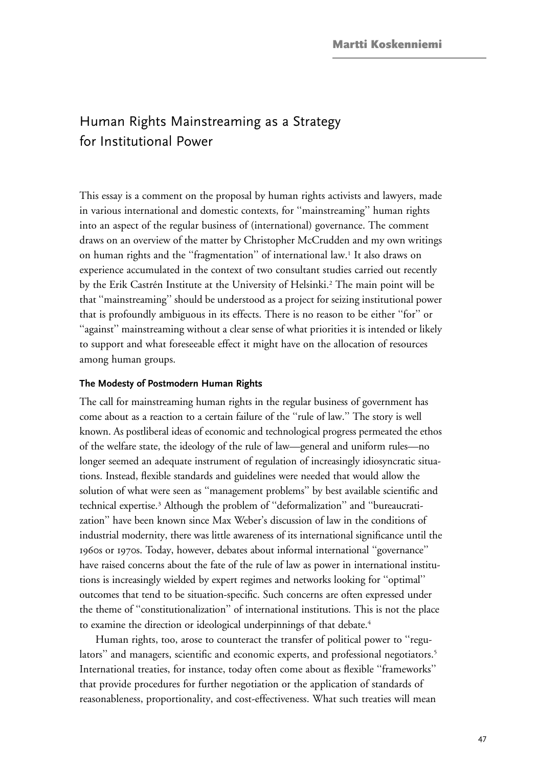# Human Rights Mainstreaming as a Strategy for Institutional Power

This essay is a comment on the proposal by human rights activists and lawyers, made in various international and domestic contexts, for ''mainstreaming'' human rights into an aspect of the regular business of (international) governance. The comment draws on an overview of the matter by Christopher McCrudden and my own writings on human rights and the ''fragmentation'' of international law.1 It also draws on experience accumulated in the context of two consultant studies carried out recently by the Erik Castrén Institute at the University of Helsinki.<sup>2</sup> The main point will be that ''mainstreaming'' should be understood as a project for seizing institutional power that is profoundly ambiguous in its effects. There is no reason to be either ''for'' or "against" mainstreaming without a clear sense of what priorities it is intended or likely to support and what foreseeable effect it might have on the allocation of resources among human groups.

#### **The Modesty of Postmodern Human Rights**

The call for mainstreaming human rights in the regular business of government has come about as a reaction to a certain failure of the ''rule of law.'' The story is well known. As postliberal ideas of economic and technological progress permeated the ethos of the welfare state, the ideology of the rule of law—general and uniform rules—no longer seemed an adequate instrument of regulation of increasingly idiosyncratic situations. Instead, flexible standards and guidelines were needed that would allow the solution of what were seen as ''management problems'' by best available scientific and technical expertise.3 Although the problem of ''deformalization'' and ''bureaucratization'' have been known since Max Weber's discussion of law in the conditions of industrial modernity, there was little awareness of its international significance until the 1960s or 1970s. Today, however, debates about informal international ''governance'' have raised concerns about the fate of the rule of law as power in international institutions is increasingly wielded by expert regimes and networks looking for ''optimal'' outcomes that tend to be situation-specific. Such concerns are often expressed under the theme of ''constitutionalization'' of international institutions. This is not the place to examine the direction or ideological underpinnings of that debate.<sup>4</sup>

Human rights, too, arose to counteract the transfer of political power to ''regulators" and managers, scientific and economic experts, and professional negotiators.<sup>5</sup> International treaties, for instance, today often come about as flexible ''frameworks'' that provide procedures for further negotiation or the application of standards of reasonableness, proportionality, and cost-effectiveness. What such treaties will mean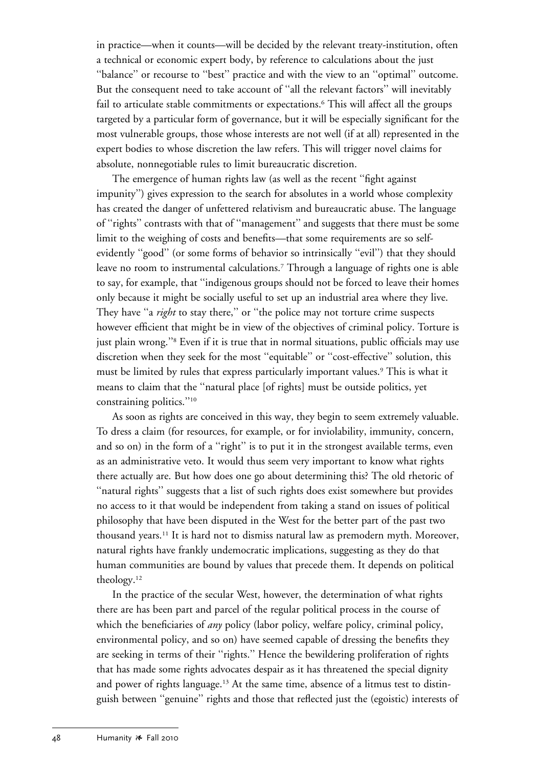in practice—when it counts—will be decided by the relevant treaty-institution, often a technical or economic expert body, by reference to calculations about the just "balance" or recourse to "best" practice and with the view to an "optimal" outcome. But the consequent need to take account of ''all the relevant factors'' will inevitably fail to articulate stable commitments or expectations.<sup>6</sup> This will affect all the groups targeted by a particular form of governance, but it will be especially significant for the most vulnerable groups, those whose interests are not well (if at all) represented in the expert bodies to whose discretion the law refers. This will trigger novel claims for absolute, nonnegotiable rules to limit bureaucratic discretion.

The emergence of human rights law (as well as the recent ''fight against impunity'') gives expression to the search for absolutes in a world whose complexity has created the danger of unfettered relativism and bureaucratic abuse. The language of ''rights'' contrasts with that of ''management'' and suggests that there must be some limit to the weighing of costs and benefits—that some requirements are so selfevidently ''good'' (or some forms of behavior so intrinsically ''evil'') that they should leave no room to instrumental calculations.<sup>7</sup> Through a language of rights one is able to say, for example, that ''indigenous groups should not be forced to leave their homes only because it might be socially useful to set up an industrial area where they live. They have ''a *right* to stay there,'' or ''the police may not torture crime suspects however efficient that might be in view of the objectives of criminal policy. Torture is just plain wrong.''8 Even if it is true that in normal situations, public officials may use discretion when they seek for the most ''equitable'' or ''cost-effective'' solution, this must be limited by rules that express particularly important values.<sup>9</sup> This is what it means to claim that the ''natural place [of rights] must be outside politics, yet constraining politics.''10

As soon as rights are conceived in this way, they begin to seem extremely valuable. To dress a claim (for resources, for example, or for inviolability, immunity, concern, and so on) in the form of a ''right'' is to put it in the strongest available terms, even as an administrative veto. It would thus seem very important to know what rights there actually are. But how does one go about determining this? The old rhetoric of ''natural rights'' suggests that a list of such rights does exist somewhere but provides no access to it that would be independent from taking a stand on issues of political philosophy that have been disputed in the West for the better part of the past two thousand years.11 It is hard not to dismiss natural law as premodern myth. Moreover, natural rights have frankly undemocratic implications, suggesting as they do that human communities are bound by values that precede them. It depends on political theology.12

In the practice of the secular West, however, the determination of what rights there are has been part and parcel of the regular political process in the course of which the beneficiaries of *any* policy (labor policy, welfare policy, criminal policy, environmental policy, and so on) have seemed capable of dressing the benefits they are seeking in terms of their "rights." Hence the bewildering proliferation of rights that has made some rights advocates despair as it has threatened the special dignity and power of rights language.<sup>13</sup> At the same time, absence of a litmus test to distinguish between ''genuine'' rights and those that reflected just the (egoistic) interests of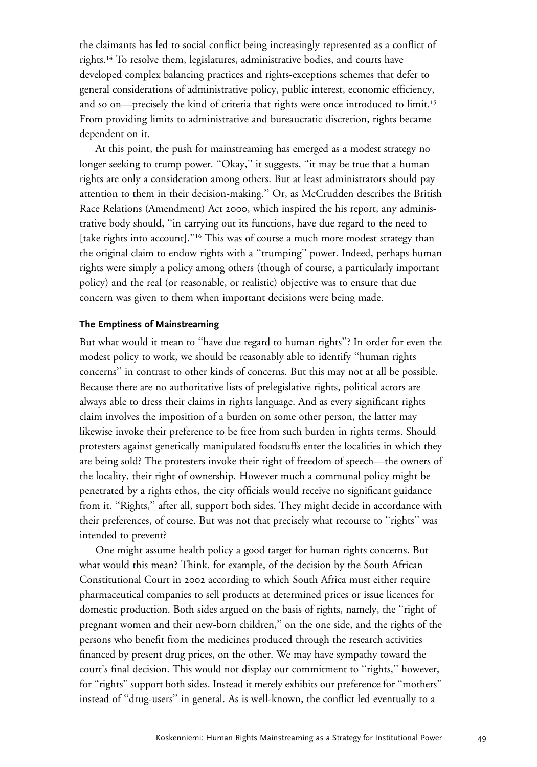the claimants has led to social conflict being increasingly represented as a conflict of rights.14 To resolve them, legislatures, administrative bodies, and courts have developed complex balancing practices and rights-exceptions schemes that defer to general considerations of administrative policy, public interest, economic efficiency, and so on—precisely the kind of criteria that rights were once introduced to limit.15 From providing limits to administrative and bureaucratic discretion, rights became dependent on it.

At this point, the push for mainstreaming has emerged as a modest strategy no longer seeking to trump power. "Okay," it suggests, "it may be true that a human rights are only a consideration among others. But at least administrators should pay attention to them in their decision-making.'' Or, as McCrudden describes the British Race Relations (Amendment) Act 2000, which inspired the his report, any administrative body should, ''in carrying out its functions, have due regard to the need to [take rights into account]."<sup>16</sup> This was of course a much more modest strategy than the original claim to endow rights with a ''trumping'' power. Indeed, perhaps human rights were simply a policy among others (though of course, a particularly important policy) and the real (or reasonable, or realistic) objective was to ensure that due concern was given to them when important decisions were being made.

## **The Emptiness of Mainstreaming**

But what would it mean to ''have due regard to human rights''? In order for even the modest policy to work, we should be reasonably able to identify ''human rights concerns'' in contrast to other kinds of concerns. But this may not at all be possible. Because there are no authoritative lists of prelegislative rights, political actors are always able to dress their claims in rights language. And as every significant rights claim involves the imposition of a burden on some other person, the latter may likewise invoke their preference to be free from such burden in rights terms. Should protesters against genetically manipulated foodstuffs enter the localities in which they are being sold? The protesters invoke their right of freedom of speech—the owners of the locality, their right of ownership. However much a communal policy might be penetrated by a rights ethos, the city officials would receive no significant guidance from it. ''Rights,'' after all, support both sides. They might decide in accordance with their preferences, of course. But was not that precisely what recourse to ''rights'' was intended to prevent?

One might assume health policy a good target for human rights concerns. But what would this mean? Think, for example, of the decision by the South African Constitutional Court in 2002 according to which South Africa must either require pharmaceutical companies to sell products at determined prices or issue licences for domestic production. Both sides argued on the basis of rights, namely, the ''right of pregnant women and their new-born children,'' on the one side, and the rights of the persons who benefit from the medicines produced through the research activities financed by present drug prices, on the other. We may have sympathy toward the court's final decision. This would not display our commitment to ''rights,'' however, for "rights" support both sides. Instead it merely exhibits our preference for "mothers" instead of ''drug-users'' in general. As is well-known, the conflict led eventually to a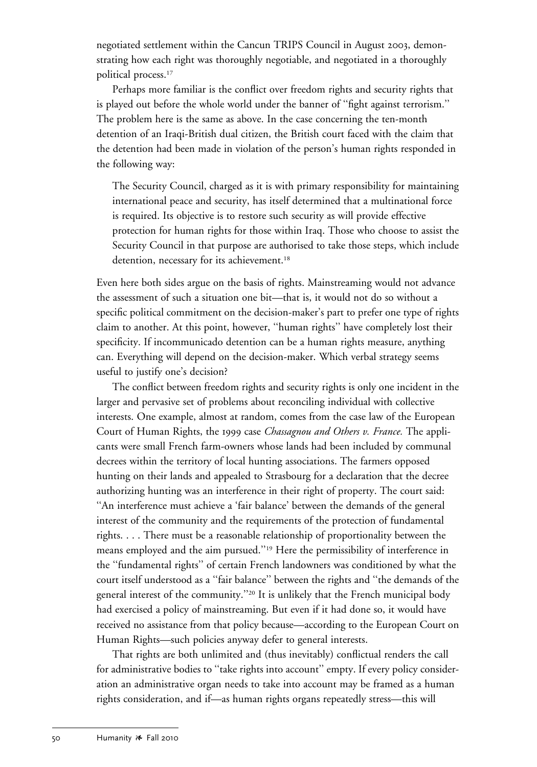negotiated settlement within the Cancun TRIPS Council in August 2003, demonstrating how each right was thoroughly negotiable, and negotiated in a thoroughly political process.17

Perhaps more familiar is the conflict over freedom rights and security rights that is played out before the whole world under the banner of ''fight against terrorism.'' The problem here is the same as above. In the case concerning the ten-month detention of an Iraqi-British dual citizen, the British court faced with the claim that the detention had been made in violation of the person's human rights responded in the following way:

The Security Council, charged as it is with primary responsibility for maintaining international peace and security, has itself determined that a multinational force is required. Its objective is to restore such security as will provide effective protection for human rights for those within Iraq. Those who choose to assist the Security Council in that purpose are authorised to take those steps, which include detention, necessary for its achievement.<sup>18</sup>

Even here both sides argue on the basis of rights. Mainstreaming would not advance the assessment of such a situation one bit—that is, it would not do so without a specific political commitment on the decision-maker's part to prefer one type of rights claim to another. At this point, however, ''human rights'' have completely lost their specificity. If incommunicado detention can be a human rights measure, anything can. Everything will depend on the decision-maker. Which verbal strategy seems useful to justify one's decision?

The conflict between freedom rights and security rights is only one incident in the larger and pervasive set of problems about reconciling individual with collective interests. One example, almost at random, comes from the case law of the European Court of Human Rights, the 1999 case *Chassagnou and Others v. France.* The applicants were small French farm-owners whose lands had been included by communal decrees within the territory of local hunting associations. The farmers opposed hunting on their lands and appealed to Strasbourg for a declaration that the decree authorizing hunting was an interference in their right of property. The court said: ''An interference must achieve a 'fair balance' between the demands of the general interest of the community and the requirements of the protection of fundamental rights. . . . There must be a reasonable relationship of proportionality between the means employed and the aim pursued.''19 Here the permissibility of interference in the ''fundamental rights'' of certain French landowners was conditioned by what the court itself understood as a ''fair balance'' between the rights and ''the demands of the general interest of the community.''20 It is unlikely that the French municipal body had exercised a policy of mainstreaming. But even if it had done so, it would have received no assistance from that policy because—according to the European Court on Human Rights—such policies anyway defer to general interests.

That rights are both unlimited and (thus inevitably) conflictual renders the call for administrative bodies to ''take rights into account'' empty. If every policy consideration an administrative organ needs to take into account may be framed as a human rights consideration, and if—as human rights organs repeatedly stress—this will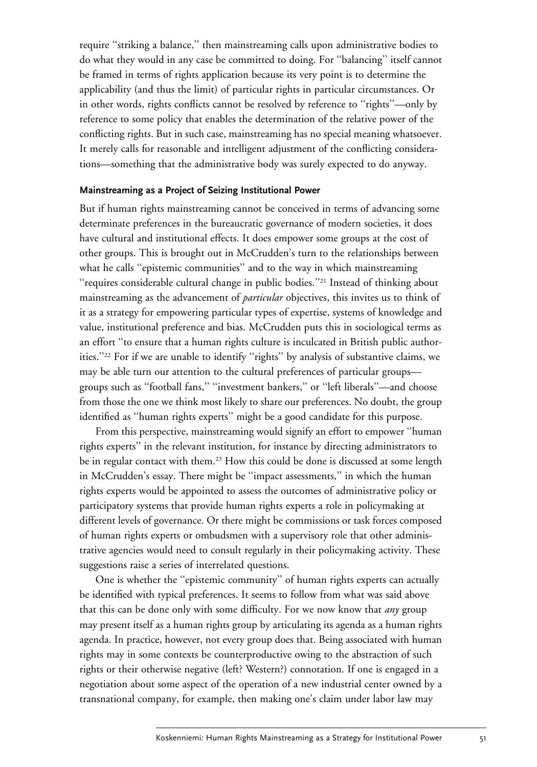require ''striking a balance,'' then mainstreaming calls upon administrative bodies to do what they would in any case be committed to doing. For ''balancing'' itself cannot be framed in terms of rights application because its very point is to determine the applicability (and thus the limit) of particular rights in particular circumstances. Or in other words, rights conflicts cannot be resolved by reference to ''rights''—only by reference to some policy that enables the determination of the relative power of the conflicting rights. But in such case, mainstreaming has no special meaning whatsoever. It merely calls for reasonable and intelligent adjustment of the conflicting considerations—something that the administrative body was surely expected to do anyway.

## **Mainstreaming as a Project of Seizing Institutional Power**

But if human rights mainstreaming cannot be conceived in terms of advancing some determinate preferences in the bureaucratic governance of modern societies, it does have cultural and institutional effects. It does empower some groups at the cost of other groups. This is brought out in McCrudden's turn to the relationships between what he calls ''epistemic communities'' and to the way in which mainstreaming ''requires considerable cultural change in public bodies.''21 Instead of thinking about mainstreaming as the advancement of *particular* objectives, this invites us to think of it as a strategy for empowering particular types of expertise, systems of knowledge and value, institutional preference and bias. McCrudden puts this in sociological terms as an effort ''to ensure that a human rights culture is inculcated in British public authorities.''22 For if we are unable to identify ''rights'' by analysis of substantive claims, we may be able turn our attention to the cultural preferences of particular groups groups such as ''football fans,'' ''investment bankers,'' or ''left liberals''—and choose from those the one we think most likely to share our preferences. No doubt, the group identified as ''human rights experts'' might be a good candidate for this purpose.

From this perspective, mainstreaming would signify an effort to empower ''human rights experts'' in the relevant institution, for instance by directing administrators to be in regular contact with them.<sup>23</sup> How this could be done is discussed at some length in McCrudden's essay. There might be ''impact assessments,'' in which the human rights experts would be appointed to assess the outcomes of administrative policy or participatory systems that provide human rights experts a role in policymaking at different levels of governance. Or there might be commissions or task forces composed of human rights experts or ombudsmen with a supervisory role that other administrative agencies would need to consult regularly in their policymaking activity. These suggestions raise a series of interrelated questions.

One is whether the ''epistemic community'' of human rights experts can actually be identified with typical preferences. It seems to follow from what was said above that this can be done only with some difficulty. For we now know that *any* group may present itself as a human rights group by articulating its agenda as a human rights agenda. In practice, however, not every group does that. Being associated with human rights may in some contexts be counterproductive owing to the abstraction of such rights or their otherwise negative (left? Western?) connotation. If one is engaged in a negotiation about some aspect of the operation of a new industrial center owned by a transnational company, for example, then making one's claim under labor law may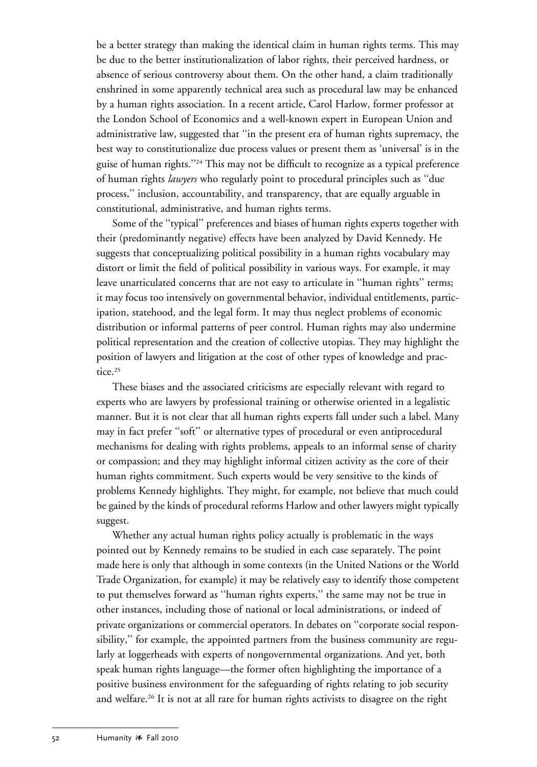be a better strategy than making the identical claim in human rights terms. This may be due to the better institutionalization of labor rights, their perceived hardness, or absence of serious controversy about them. On the other hand, a claim traditionally enshrined in some apparently technical area such as procedural law may be enhanced by a human rights association. In a recent article, Carol Harlow, former professor at the London School of Economics and a well-known expert in European Union and administrative law, suggested that ''in the present era of human rights supremacy, the best way to constitutionalize due process values or present them as 'universal' is in the guise of human rights."<sup>24</sup> This may not be difficult to recognize as a typical preference of human rights *lawyers* who regularly point to procedural principles such as ''due process,'' inclusion, accountability, and transparency, that are equally arguable in constitutional, administrative, and human rights terms.

Some of the ''typical'' preferences and biases of human rights experts together with their (predominantly negative) effects have been analyzed by David Kennedy. He suggests that conceptualizing political possibility in a human rights vocabulary may distort or limit the field of political possibility in various ways. For example, it may leave unarticulated concerns that are not easy to articulate in ''human rights'' terms; it may focus too intensively on governmental behavior, individual entitlements, participation, statehood, and the legal form. It may thus neglect problems of economic distribution or informal patterns of peer control. Human rights may also undermine political representation and the creation of collective utopias. They may highlight the position of lawyers and litigation at the cost of other types of knowledge and practice.<sup>25</sup>

These biases and the associated criticisms are especially relevant with regard to experts who are lawyers by professional training or otherwise oriented in a legalistic manner. But it is not clear that all human rights experts fall under such a label. Many may in fact prefer ''soft'' or alternative types of procedural or even antiprocedural mechanisms for dealing with rights problems, appeals to an informal sense of charity or compassion; and they may highlight informal citizen activity as the core of their human rights commitment. Such experts would be very sensitive to the kinds of problems Kennedy highlights. They might, for example, not believe that much could be gained by the kinds of procedural reforms Harlow and other lawyers might typically suggest.

Whether any actual human rights policy actually is problematic in the ways pointed out by Kennedy remains to be studied in each case separately. The point made here is only that although in some contexts (in the United Nations or the World Trade Organization, for example) it may be relatively easy to identify those competent to put themselves forward as ''human rights experts,'' the same may not be true in other instances, including those of national or local administrations, or indeed of private organizations or commercial operators. In debates on ''corporate social responsibility,'' for example, the appointed partners from the business community are regularly at loggerheads with experts of nongovernmental organizations. And yet, both speak human rights language—the former often highlighting the importance of a positive business environment for the safeguarding of rights relating to job security and welfare.26 It is not at all rare for human rights activists to disagree on the right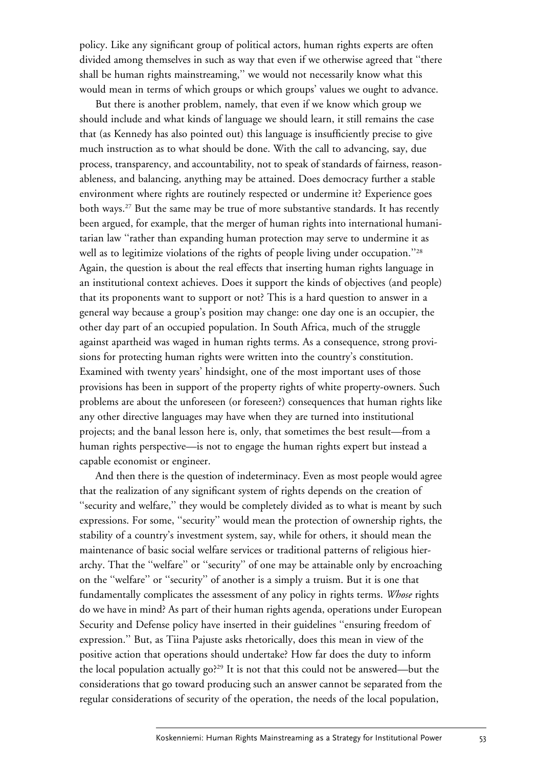policy. Like any significant group of political actors, human rights experts are often divided among themselves in such as way that even if we otherwise agreed that ''there shall be human rights mainstreaming,'' we would not necessarily know what this would mean in terms of which groups or which groups' values we ought to advance.

But there is another problem, namely, that even if we know which group we should include and what kinds of language we should learn, it still remains the case that (as Kennedy has also pointed out) this language is insufficiently precise to give much instruction as to what should be done. With the call to advancing, say, due process, transparency, and accountability, not to speak of standards of fairness, reasonableness, and balancing, anything may be attained. Does democracy further a stable environment where rights are routinely respected or undermine it? Experience goes both ways.<sup>27</sup> But the same may be true of more substantive standards. It has recently been argued, for example, that the merger of human rights into international humanitarian law ''rather than expanding human protection may serve to undermine it as well as to legitimize violations of the rights of people living under occupation."<sup>28</sup> Again, the question is about the real effects that inserting human rights language in an institutional context achieves. Does it support the kinds of objectives (and people) that its proponents want to support or not? This is a hard question to answer in a general way because a group's position may change: one day one is an occupier, the other day part of an occupied population. In South Africa, much of the struggle against apartheid was waged in human rights terms. As a consequence, strong provisions for protecting human rights were written into the country's constitution. Examined with twenty years' hindsight, one of the most important uses of those provisions has been in support of the property rights of white property-owners. Such problems are about the unforeseen (or foreseen?) consequences that human rights like any other directive languages may have when they are turned into institutional projects; and the banal lesson here is, only, that sometimes the best result—from a human rights perspective—is not to engage the human rights expert but instead a capable economist or engineer.

And then there is the question of indeterminacy. Even as most people would agree that the realization of any significant system of rights depends on the creation of ''security and welfare,'' they would be completely divided as to what is meant by such expressions. For some, ''security'' would mean the protection of ownership rights, the stability of a country's investment system, say, while for others, it should mean the maintenance of basic social welfare services or traditional patterns of religious hierarchy. That the ''welfare'' or ''security'' of one may be attainable only by encroaching on the ''welfare'' or ''security'' of another is a simply a truism. But it is one that fundamentally complicates the assessment of any policy in rights terms. *Whose* rights do we have in mind? As part of their human rights agenda, operations under European Security and Defense policy have inserted in their guidelines ''ensuring freedom of expression.'' But, as Tiina Pajuste asks rhetorically, does this mean in view of the positive action that operations should undertake? How far does the duty to inform the local population actually go?29 It is not that this could not be answered—but the considerations that go toward producing such an answer cannot be separated from the regular considerations of security of the operation, the needs of the local population,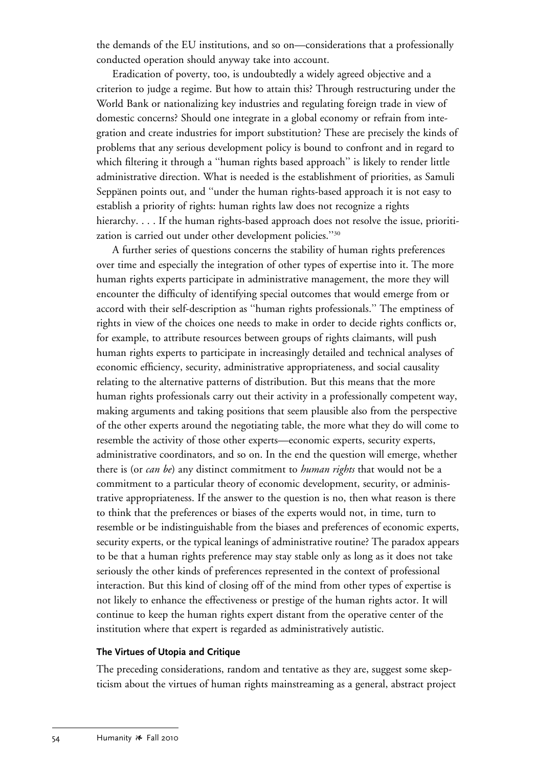the demands of the EU institutions, and so on—considerations that a professionally conducted operation should anyway take into account.

Eradication of poverty, too, is undoubtedly a widely agreed objective and a criterion to judge a regime. But how to attain this? Through restructuring under the World Bank or nationalizing key industries and regulating foreign trade in view of domestic concerns? Should one integrate in a global economy or refrain from integration and create industries for import substitution? These are precisely the kinds of problems that any serious development policy is bound to confront and in regard to which filtering it through a ''human rights based approach'' is likely to render little administrative direction. What is needed is the establishment of priorities, as Samuli Seppänen points out, and "under the human rights-based approach it is not easy to establish a priority of rights: human rights law does not recognize a rights hierarchy. . . . If the human rights-based approach does not resolve the issue, prioritization is carried out under other development policies.''30

A further series of questions concerns the stability of human rights preferences over time and especially the integration of other types of expertise into it. The more human rights experts participate in administrative management, the more they will encounter the difficulty of identifying special outcomes that would emerge from or accord with their self-description as ''human rights professionals.'' The emptiness of rights in view of the choices one needs to make in order to decide rights conflicts or, for example, to attribute resources between groups of rights claimants, will push human rights experts to participate in increasingly detailed and technical analyses of economic efficiency, security, administrative appropriateness, and social causality relating to the alternative patterns of distribution. But this means that the more human rights professionals carry out their activity in a professionally competent way, making arguments and taking positions that seem plausible also from the perspective of the other experts around the negotiating table, the more what they do will come to resemble the activity of those other experts—economic experts, security experts, administrative coordinators, and so on. In the end the question will emerge, whether there is (or *can be*) any distinct commitment to *human rights* that would not be a commitment to a particular theory of economic development, security, or administrative appropriateness. If the answer to the question is no, then what reason is there to think that the preferences or biases of the experts would not, in time, turn to resemble or be indistinguishable from the biases and preferences of economic experts, security experts, or the typical leanings of administrative routine? The paradox appears to be that a human rights preference may stay stable only as long as it does not take seriously the other kinds of preferences represented in the context of professional interaction. But this kind of closing off of the mind from other types of expertise is not likely to enhance the effectiveness or prestige of the human rights actor. It will continue to keep the human rights expert distant from the operative center of the institution where that expert is regarded as administratively autistic.

## **The Virtues of Utopia and Critique**

The preceding considerations, random and tentative as they are, suggest some skepticism about the virtues of human rights mainstreaming as a general, abstract project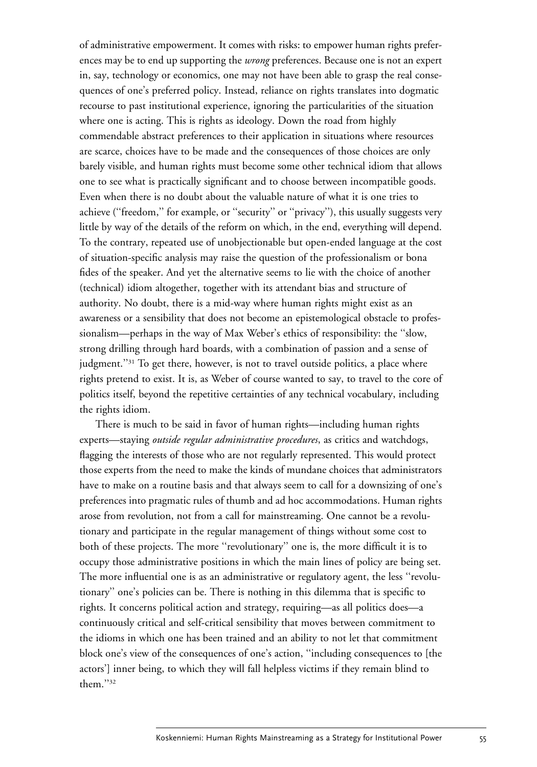of administrative empowerment. It comes with risks: to empower human rights preferences may be to end up supporting the *wrong* preferences. Because one is not an expert in, say, technology or economics, one may not have been able to grasp the real consequences of one's preferred policy. Instead, reliance on rights translates into dogmatic recourse to past institutional experience, ignoring the particularities of the situation where one is acting. This is rights as ideology. Down the road from highly commendable abstract preferences to their application in situations where resources are scarce, choices have to be made and the consequences of those choices are only barely visible, and human rights must become some other technical idiom that allows one to see what is practically significant and to choose between incompatible goods. Even when there is no doubt about the valuable nature of what it is one tries to achieve ("freedom," for example, or "security" or "privacy"), this usually suggests very little by way of the details of the reform on which, in the end, everything will depend. To the contrary, repeated use of unobjectionable but open-ended language at the cost of situation-specific analysis may raise the question of the professionalism or bona fides of the speaker. And yet the alternative seems to lie with the choice of another (technical) idiom altogether, together with its attendant bias and structure of authority. No doubt, there is a mid-way where human rights might exist as an awareness or a sensibility that does not become an epistemological obstacle to professionalism—perhaps in the way of Max Weber's ethics of responsibility: the ''slow, strong drilling through hard boards, with a combination of passion and a sense of judgment."<sup>31</sup> To get there, however, is not to travel outside politics, a place where rights pretend to exist. It is, as Weber of course wanted to say, to travel to the core of politics itself, beyond the repetitive certainties of any technical vocabulary, including the rights idiom.

There is much to be said in favor of human rights—including human rights experts—staying *outside regular administrative procedures*, as critics and watchdogs, flagging the interests of those who are not regularly represented. This would protect those experts from the need to make the kinds of mundane choices that administrators have to make on a routine basis and that always seem to call for a downsizing of one's preferences into pragmatic rules of thumb and ad hoc accommodations. Human rights arose from revolution, not from a call for mainstreaming. One cannot be a revolutionary and participate in the regular management of things without some cost to both of these projects. The more ''revolutionary'' one is, the more difficult it is to occupy those administrative positions in which the main lines of policy are being set. The more influential one is as an administrative or regulatory agent, the less ''revolutionary'' one's policies can be. There is nothing in this dilemma that is specific to rights. It concerns political action and strategy, requiring—as all politics does—a continuously critical and self-critical sensibility that moves between commitment to the idioms in which one has been trained and an ability to not let that commitment block one's view of the consequences of one's action, ''including consequences to [the actors'] inner being, to which they will fall helpless victims if they remain blind to them.''32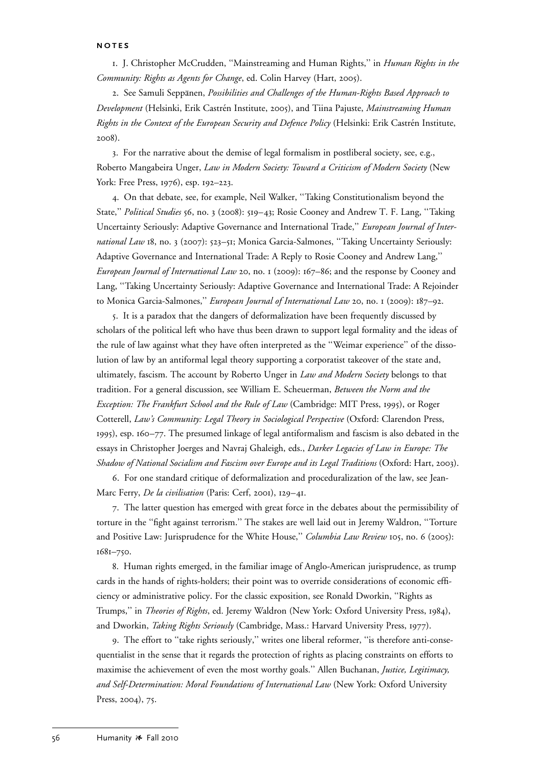#### **NOTES**

1. J. Christopher McCrudden, ''Mainstreaming and Human Rights,'' in *Human Rights in the Community: Rights as Agents for Change*, ed. Colin Harvey (Hart, 2005).

2. See Samuli Seppänen, *Possibilities and Challenges of the Human-Rights Based Approach to Development* (Helsinki, Erik Castre´n Institute, 2005), and Tiina Pajuste, *Mainstreaming Human* Rights in the Context of the European Security and Defence Policy (Helsinki: Erik Castrén Institute, 2008).

3. For the narrative about the demise of legal formalism in postliberal society, see, e.g., Roberto Mangabeira Unger, *Law in Modern Society: Toward a Criticism of Modern Society* (New York: Free Press, 1976), esp. 192–223.

4. On that debate, see, for example, Neil Walker, ''Taking Constitutionalism beyond the State,'' *Political Studies* 56, no. 3 (2008): 519–43; Rosie Cooney and Andrew T. F. Lang, ''Taking Uncertainty Seriously: Adaptive Governance and International Trade,'' *European Journal of International Law* 18, no. 3 (2007): 523–51; Monica Garcia-Salmones, ''Taking Uncertainty Seriously: Adaptive Governance and International Trade: A Reply to Rosie Cooney and Andrew Lang,'' *European Journal of International Law* 20, no. 1 (2009): 167–86; and the response by Cooney and Lang, ''Taking Uncertainty Seriously: Adaptive Governance and International Trade: A Rejoinder to Monica Garcia-Salmones,'' *European Journal of International Law* 20, no. 1 (2009): 187–92.

5. It is a paradox that the dangers of deformalization have been frequently discussed by scholars of the political left who have thus been drawn to support legal formality and the ideas of the rule of law against what they have often interpreted as the ''Weimar experience'' of the dissolution of law by an antiformal legal theory supporting a corporatist takeover of the state and, ultimately, fascism. The account by Roberto Unger in *Law and Modern Society* belongs to that tradition. For a general discussion, see William E. Scheuerman, *Between the Norm and the Exception: The Frankfurt School and the Rule of Law* (Cambridge: MIT Press, 1995), or Roger Cotterell, *Law's Community: Legal Theory in Sociological Perspective* (Oxford: Clarendon Press, 1995), esp. 160–77. The presumed linkage of legal antiformalism and fascism is also debated in the essays in Christopher Joerges and Navraj Ghaleigh, eds., *Darker Legacies of Law in Europe: The Shadow of National Socialism and Fascism over Europe and its Legal Traditions* (Oxford: Hart, 2003).

6. For one standard critique of deformalization and proceduralization of the law, see Jean-Marc Ferry, *De la civilisation* (Paris: Cerf, 2001), 129–41.

7. The latter question has emerged with great force in the debates about the permissibility of torture in the ''fight against terrorism.'' The stakes are well laid out in Jeremy Waldron, ''Torture and Positive Law: Jurisprudence for the White House,'' *Columbia Law Review* 105, no. 6 (2005): 1681–750.

8. Human rights emerged, in the familiar image of Anglo-American jurisprudence, as trump cards in the hands of rights-holders; their point was to override considerations of economic efficiency or administrative policy. For the classic exposition, see Ronald Dworkin, ''Rights as Trumps,'' in *Theories of Rights*, ed. Jeremy Waldron (New York: Oxford University Press, 1984), and Dworkin, *Taking Rights Seriously* (Cambridge, Mass.: Harvard University Press, 1977).

9. The effort to ''take rights seriously,'' writes one liberal reformer, ''is therefore anti-consequentialist in the sense that it regards the protection of rights as placing constraints on efforts to maximise the achievement of even the most worthy goals.'' Allen Buchanan, *Justice, Legitimacy, and Self-Determination: Moral Foundations of International Law* (New York: Oxford University Press, 2004), 75.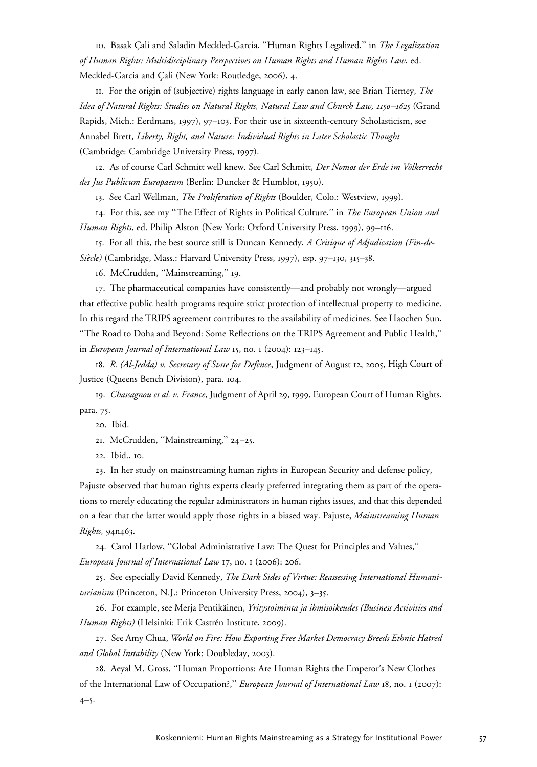10. Basak C¸ ali and Saladin Meckled-Garcia, ''Human Rights Legalized,'' in *The Legalization of Human Rights: Multidisciplinary Perspectives on Human Rights and Human Rights Law*, ed. Meckled-Garcia and Çali (New York: Routledge, 2006), 4.

11. For the origin of (subjective) rights language in early canon law, see Brian Tierney, *The Idea of Natural Rights: Studies on Natural Rights, Natural Law and Church Law, 1150–1625* (Grand Rapids, Mich.: Eerdmans, 1997), 97–103. For their use in sixteenth-century Scholasticism, see Annabel Brett, *Liberty, Right, and Nature: Individual Rights in Later Scholastic Thought* (Cambridge: Cambridge University Press, 1997).

12. As of course Carl Schmitt well knew. See Carl Schmitt, *Der Nomos der Erde im Völkerrecht des Jus Publicum Europaeum* (Berlin: Duncker & Humblot, 1950).

13. See Carl Wellman, *The Proliferation of Rights* (Boulder, Colo.: Westview, 1999).

14. For this, see my ''The Effect of Rights in Political Culture,'' in *The European Union and Human Rights*, ed. Philip Alston (New York: Oxford University Press, 1999), 99–116.

15. For all this, the best source still is Duncan Kennedy, *A Critique of Adjudication (Fin-de-Sie`cle)* (Cambridge, Mass.: Harvard University Press, 1997), esp. 97–130, 315–38.

16. McCrudden, ''Mainstreaming,'' 19.

17. The pharmaceutical companies have consistently—and probably not wrongly—argued that effective public health programs require strict protection of intellectual property to medicine. In this regard the TRIPS agreement contributes to the availability of medicines. See Haochen Sun, ''The Road to Doha and Beyond: Some Reflections on the TRIPS Agreement and Public Health,'' in *European Journal of International Law* 15, no. 1 (2004): 123–145.

18. *R. (Al-Jedda) v. Secretary of State for Defence*, Judgment of August 12, 2005, High Court of Justice (Queens Bench Division), para. 104.

19. *Chassagnou et al. v. France*, Judgment of April 29, 1999, European Court of Human Rights, para. 75.

20. Ibid.

21. McCrudden, ''Mainstreaming,'' 24–25.

22. Ibid., 10.

23. In her study on mainstreaming human rights in European Security and defense policy,

Pajuste observed that human rights experts clearly preferred integrating them as part of the operations to merely educating the regular administrators in human rights issues, and that this depended on a fear that the latter would apply those rights in a biased way. Pajuste, *Mainstreaming Human Rights,* 94n463.

24. Carol Harlow, ''Global Administrative Law: The Quest for Principles and Values,'' *European Journal of International Law* 17, no. 1 (2006): 206.

25. See especially David Kennedy, *The Dark Sides of Virtue: Reassessing International Humanitarianism* (Princeton, N.J.: Princeton University Press, 2004), 3–35.

26. For example, see Merja Pentika¨inen, *Yritystoiminta ja ihmisoikeudet (Business Activities and Human Rights)* (Helsinki: Erik Castrén Institute, 2009).

27. See Amy Chua, *World on Fire: How Exporting Free Market Democracy Breeds Ethnic Hatred and Global Instability* (New York: Doubleday, 2003).

28. Aeyal M. Gross, ''Human Proportions: Are Human Rights the Emperor's New Clothes of the International Law of Occupation?,'' *European Journal of International Law* 18, no. 1 (2007): 4–5.